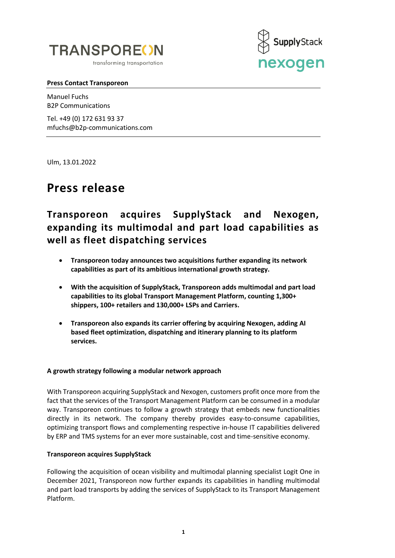





#### **Press Contact Transporeon**

Manuel Fuchs B2P Communications

Tel. +49 (0) 172 631 93 37 mfuchs@b2p-communications.com

Ulm, 13.01.2022

# **Press release**

# **Transporeon acquires SupplyStack and Nexogen, expanding its multimodal and part load capabilities as well as fleet dispatching services**

- **Transporeon today announces two acquisitions further expanding its network capabilities as part of its ambitious international growth strategy.**
- **With the acquisition of SupplyStack, Transporeon adds multimodal and part load capabilities to its global Transport Management Platform, counting 1,300+ shippers, 100+ retailers and 130,000+ LSPs and Carriers.**
- **Transporeon also expands its carrier offering by acquiring Nexogen, adding AI based fleet optimization, dispatching and itinerary planning to its platform services.**

# **A growth strategy following a modular network approach**

With Transporeon acquiring SupplyStack and Nexogen, customers profit once more from the fact that the services of the Transport Management Platform can be consumed in a modular way. Transporeon continues to follow a growth strategy that embeds new functionalities directly in its network. The company thereby provides easy-to-consume capabilities, optimizing transport flows and complementing respective in-house IT capabilities delivered by ERP and TMS systems for an ever more sustainable, cost and time-sensitive economy.

# **Transporeon acquires SupplyStack**

Following the acquisition of ocean visibility and multimodal planning specialist Logit One in December 2021, Transporeon now further expands its capabilities in handling multimodal and part load transports by adding the services of SupplyStack to its Transport Management Platform.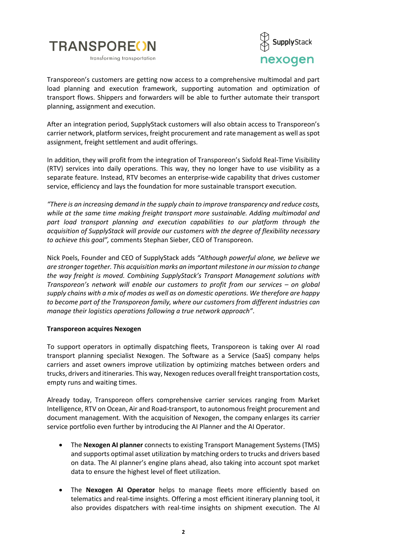

transforming transportation



Transporeon's customers are getting now access to a comprehensive multimodal and part load planning and execution framework, supporting automation and optimization of transport flows. Shippers and forwarders will be able to further automate their transport planning, assignment and execution.

After an integration period, SupplyStack customers will also obtain access to Transporeon's carrier network, platform services, freight procurement and rate management as well asspot assignment, freight settlement and audit offerings.

In addition, they will profit from the integration of Transporeon's Sixfold Real-Time Visibility (RTV) services into daily operations. This way, they no longer have to use visibility as a separate feature. Instead, RTV becomes an enterprise-wide capability that drives customer service, efficiency and lays the foundation for more sustainable transport execution.

*"There is an increasing demand in the supply chain to improve transparency and reduce costs, while at the same time making freight transport more sustainable. Adding multimodal and part load transport planning and execution capabilities to our platform through the acquisition of SupplyStack will provide our customers with the degree of flexibility necessary to achieve this goal",* comments Stephan Sieber, CEO of Transporeon.

Nick Poels, Founder and CEO of SupplyStack adds *"Although powerful alone, we believe we are stronger together. This acquisition marks an important milestone in our mission to change the way freight is moved. Combining SupplyStack's Transport Management solutions with Transporeon's network will enable our customers to profit from our services – on global supply chains with a mix of modes as well as on domestic operations. We therefore are happy to become part of the Transporeon family, where our customers from different industries can manage their logistics operations following a true network approach"*.

#### **Transporeon acquires Nexogen**

To support operators in optimally dispatching fleets, Transporeon is taking over AI road transport planning specialist Nexogen. The Software as a Service (SaaS) company helps carriers and asset owners improve utilization by optimizing matches between orders and trucks, drivers and itineraries. This way, Nexogen reduces overall freight transportation costs, empty runs and waiting times.

Already today, Transporeon offers comprehensive carrier services ranging from Market Intelligence, RTV on Ocean, Air and Road-transport, to autonomous freight procurement and document management. With the acquisition of Nexogen, the company enlarges its carrier service portfolio even further by introducing the AI Planner and the AI Operator.

- The **Nexogen AI planner** connects to existing Transport Management Systems (TMS) and supports optimal asset utilization by matching ordersto trucks and drivers based on data. The AI planner's engine plans ahead, also taking into account spot market data to ensure the highest level of fleet utilization.
- The **Nexogen AI Operator** helps to manage fleets more efficiently based on telematics and real-time insights. Offering a most efficient itinerary planning tool, it also provides dispatchers with real-time insights on shipment execution. The AI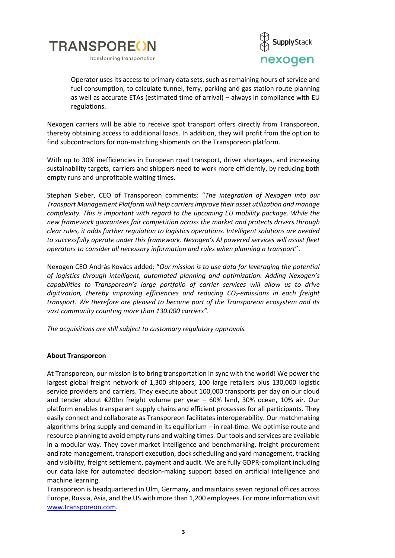



Operator uses its access to primary data sets, such as remaining hours of service and fuel consumption, to calculate tunnel, ferry, parking and gas station route planning as well as accurate ETAs (estimated time of arrival) – always in compliance with EU regulations.

Nexogen carriers will be able to receive spot transport offers directly from Transporeon, thereby obtaining access to additional loads. In addition, they will profit from the option to find subcontractors for non-matching shipments on the Transporeon platform.

With up to 30% inefficiencies in European road transport, driver shortages, and increasing sustainability targets, carriers and shippers need to work more efficiently, by reducing both empty runs and unprofitable waiting times.

Stephan Sieber, CEO of Transporeon comments: "*The integration of Nexogen into our Transport Management Platform will help carriers improve their asset utilization and manage complexity. This is important with regard to the upcoming EU mobility package. While the new framework guarantees fair competition across the market and protects drivers through clear rules, it adds further regulation to logistics operations. Intelligent solutions are needed to successfully operate under this framework. Nexogen's AI powered services will assist fleet operators to consider all necessary information and rules when planning a transport*".

Nexogen CEO András Kovács added: "*Our mission is to use data for leveraging the potential of logistics through intelligent, automated planning and optimization. Adding Nexogen's capabilities to Transporeon's large portfolio of carrier services will allow us to drive digitization, thereby improving efficiencies and reducing CO*2*-emissions in each freight transport. We therefore are pleased to become part of the Transporeon ecosystem and its vast community counting more than 130.000 carriers"*.

*The acquisitions are still subject to customary regulatory approvals.*

# **About Transporeon**

At Transporeon, our mission is to bring transportation in sync with the world! We power the largest global freight network of 1,300 shippers, 100 large retailers plus 130,000 logistic service providers and carriers. They execute about 100,000 transports per day on our cloud and tender about €20bn freight volume per year – 60% land, 30% ocean, 10% air. Our platform enables transparent supply chains and efficient processes for all participants. They easily connect and collaborate as Transporeon facilitates interoperability. Our matchmaking algorithms bring supply and demand in its equilibrium – in real-time. We optimise route and resource planning to avoid empty runs and waiting times. Our tools and services are available in a modular way. They cover market intelligence and benchmarking, freight procurement and rate management, transport execution, dock scheduling and yard management, tracking and visibility, freight settlement, payment and audit. We are fully GDPR-compliant including our data lake for automated decision-making support based on artificial intelligence and machine learning.

Transporeon is headquartered in Ulm, Germany, and maintains seven regional offices across Europe, Russia, Asia, and the US with more than 1,200 employees. For more information visit [www.transporeon.com.](http://www.transporeon.com/)